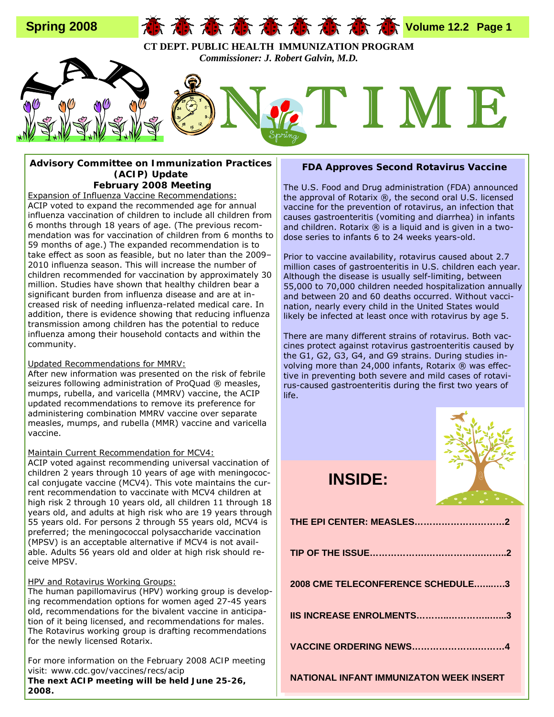

### **Advisory Committee on Immunization Practices (ACIP) Update February 2008 Meeting**

Expansion of Influenza Vaccine Recommendations: ACIP voted to expand the recommended age for annual influenza vaccination of children to include all children from 6 months through 18 years of age. (The previous recommendation was for vaccination of children from 6 months to 59 months of age.) The expanded recommendation is to take effect as soon as feasible, but no later than the 2009– 2010 influenza season. This will increase the number of children recommended for vaccination by approximately 30 million. Studies have shown that healthy children bear a significant burden from influenza disease and are at increased risk of needing influenza-related medical care. In addition, there is evidence showing that reducing influenza transmission among children has the potential to reduce influenza among their household contacts and within the community.

### Updated Recommendations for MMRV:

After new information was presented on the risk of febrile seizures following administration of ProQuad ® measles, mumps, rubella, and varicella (MMRV) vaccine, the ACIP updated recommendations to remove its preference for administering combination MMRV vaccine over separate measles, mumps, and rubella (MMR) vaccine and varicella vaccine.

### Maintain Current Recommendation for MCV4:

ACIP voted *against* recommending universal vaccination of children 2 years through 10 years of age with meningococcal conjugate vaccine (MCV4). This vote maintains the current recommendation to vaccinate with MCV4 children at high risk 2 through 10 years old, all children 11 through 18 years old, and adults at high risk who are 19 years through 55 years old. For persons 2 through 55 years old, MCV4 is preferred; the meningococcal polysaccharide vaccination (MPSV) is an acceptable alternative if MCV4 is not available. Adults 56 years old and older at high risk should receive MPSV.

### HPV and Rotavirus Working Groups:

The human papillomavirus (HPV) working group is developing recommendation options for women aged 27-45 years old, recommendations for the bivalent vaccine in anticipation of it being licensed, and recommendations for males. The Rotavirus working group is drafting recommendations for the newly licensed Rotarix.

*For more information on the February 2008 ACIP meeting visit: www.cdc.gov/vaccines/recs/acip* 

*The next ACIP meeting will be held June 25-26, 2008.* 

### **FDA Approves Second Rotavirus Vaccine**

The U.S. Food and Drug administration (FDA) announced the approval of Rotarix ®, the second oral U.S. licensed vaccine for the prevention of rotavirus, an infection that causes gastroenteritis (vomiting and diarrhea) in infants and children. Rotarix  $\circledR$  is a liquid and is given in a twodose series to infants 6 to 24 weeks years-old.

Prior to vaccine availability, rotavirus caused about 2.7 million cases of gastroenteritis in U.S. children each year. Although the disease is usually self-limiting, between 55,000 to 70,000 children needed hospitalization annually and between 20 and 60 deaths occurred. Without vaccination, nearly every child in the United States would likely be infected at least once with rotavirus by age 5.

There are many different strains of rotavirus. Both vaccines protect against rotavirus gastroenteritis caused by the G1, G2, G3, G4, and G9 strains. During studies involving more than 24,000 infants, Rotarix ® was effective in preventing both severe and mild cases of rotavirus-caused gastroenteritis during the first two years of life.



## **INSIDE:**

| THE EPI CENTER: MEASLES2                |
|-----------------------------------------|
|                                         |
| 2008 CME TELECONFERENCE SCHEDULE3       |
| IIS INCREASE ENROLMENTS3                |
|                                         |
| NATIONAL INFANT IMMUNIZATON WEEK INSERT |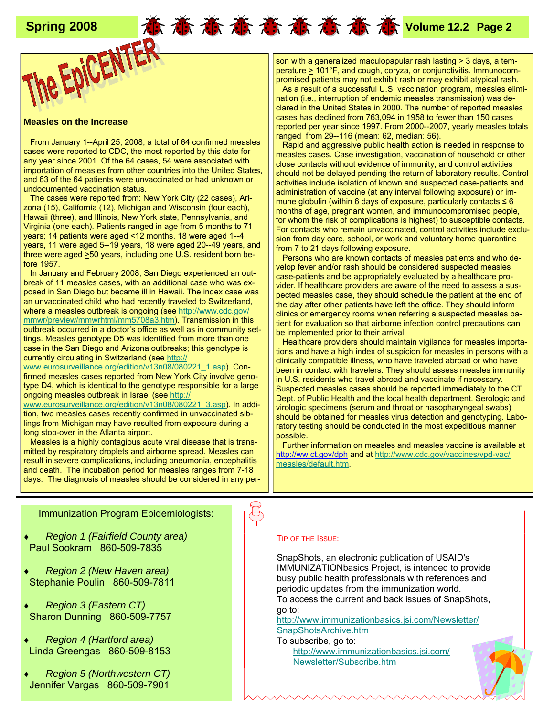### **Measles on the Increase**

 From January 1--April 25, 2008, a total of 64 confirmed measles cases were reported to CDC, the most reported by this date for any year since 2001. Of the 64 cases, 54 were associated with importation of measles from other countries into the United States, and 63 of the 64 patients were unvaccinated or had unknown or undocumented vaccination status.

 The cases were reported from: New York City (22 cases), Arizona (15), California (12), Michigan and Wisconsin (four each), Hawaii (three), and Illinois, New York state, Pennsylvania, and Virginia (one each). Patients ranged in age from 5 months to 71 years; 14 patients were aged <12 months, 18 were aged 1--4 years, 11 were aged 5--19 years, 18 were aged 20--49 years, and three were aged >50 years, including one U.S. resident born before 1957.

 In January and February 2008, San Diego experienced an outbreak of 11 measles cases, with an additional case who was exposed in San Diego but became ill in Hawaii. The index case was an unvaccinated child who had recently traveled to Switzerland, where a measles outbreak is ongoing (see http://www.cdc.gov/ mmwr/preview/mmwrhtml/mm5708a3.htm). Transmission in this outbreak occurred in a doctor's office as well as in community settings. Measles genotype D5 was identified from more than one case in the San Diego and Arizona outbreaks; this genotype is currently circulating in Switzerland (see http://

www.eurosurveillance.org/edition/v13n08/080221\_1.asp). Confirmed measles cases reported from New York City involve genotype D4, which is identical to the genotype responsible for a large ongoing measles outbreak in Israel (see http://

www.eurosurveillance.org/edition/v13n08/080221\_3.asp). In addition, two measles cases recently confirmed in unvaccinated siblings from Michigan may have resulted from exposure during a long stop-over in the Atlanta airport.

Measles is a highly contagious acute viral disease that is transmitted by respiratory droplets and airborne spread. Measles can result in severe complications, including pneumonia, encephalitis and death. The incubation period for measles ranges from 7-18 days. The diagnosis of measles should be considered in any per-

 **Spring 2008 Volume 12.2 Page 2** son with a generalized maculopapular rash lasting > 3 days, a tem $percenture \geq 101^{\circ}F$ , and cough, coryza, or conjunctivitis. Immunocompromised patients may not exhibit rash or may exhibit atypical rash. As a result of a successful U.S. vaccination program, measles elimination (i.e., interruption of endemic measles transmission) was declared in the United States in 2000. The number of reported measles cases has declined from 763,094 in 1958 to fewer than 150 cases reported per year since 1997. From 2000--2007, yearly measles totals ranged from 29--116 (mean: 62, median: 56).

 Rapid and aggressive public health action is needed in response to measles cases. Case investigation, vaccination of household or other close contacts without evidence of immunity, and control activities should not be delayed pending the return of laboratory results. Control activities include isolation of known and suspected case-patients and administration of vaccine (at any interval following exposure) or immune globulin (within 6 days of exposure, particularly contacts ≤ 6 months of age, pregnant women, and immunocompromised people, for whom the risk of complications is highest) to susceptible contacts. For contacts who remain unvaccinated, control activities include exclusion from day care, school, or work and voluntary home quarantine from 7 to 21 days following exposure.

 Persons who are known contacts of measles patients and who develop fever and/or rash should be considered suspected measles case-patients and be appropriately evaluated by a healthcare provider. If healthcare providers are aware of the need to assess a suspected measles case, they should schedule the patient at the end of the day after other patients have left the office. They should inform clinics or emergency rooms when referring a suspected measles patient for evaluation so that airborne infection control precautions can be implemented prior to their arrival.

 Healthcare providers should maintain vigilance for measles importations and have a high index of suspicion for measles in persons with a clinically compatible illness, who have traveled abroad or who have been in contact with travelers. They should assess measles immunity in U.S. residents who travel abroad and vaccinate if necessary. Suspected measles cases should be reported immediately to the CT Dept. of Public Health and the local health department. Serologic and virologic specimens (serum and throat or nasopharyngeal swabs) should be obtained for measles virus detection and genotyping. Laboratory testing should be conducted in the most expeditious manner possible.

 Further information on measles and measles vaccine is available at http://ww.ct.gov/dph and at http://www.cdc.gov/vaccines/vpd-vac/ measles/default.htm.

### Immunization Program Epidemiologists:

- **Region 1 (Fairfield County area)** Paul Sookram 860-509-7835
- *Region 2 (New Haven area)* Stephanie Poulin 860-509-7811
- **Region 3 (Eastern CT)** Sharon Dunning 860-509-7757
- **Region 4 (Hartford area)** Linda Greengas 860-509-8153
- **Region 5 (Northwestern CT)** Jennifer Vargas 860-509-7901

### TIP OF THE ISSUE:

SnapShots, an electronic publication of USAID's IMMUNIZATIONbasics Project, is intended to provide busy public health professionals with references and periodic updates from the immunization world. To access the current and back issues of SnapShots, go to:

http://www.immunizationbasics.jsi.com/Newsletter/ SnapShotsArchive.htm

To subscribe, go to: http://www.immunizationbasics.jsi.com/ Newsletter/Subscribe.htm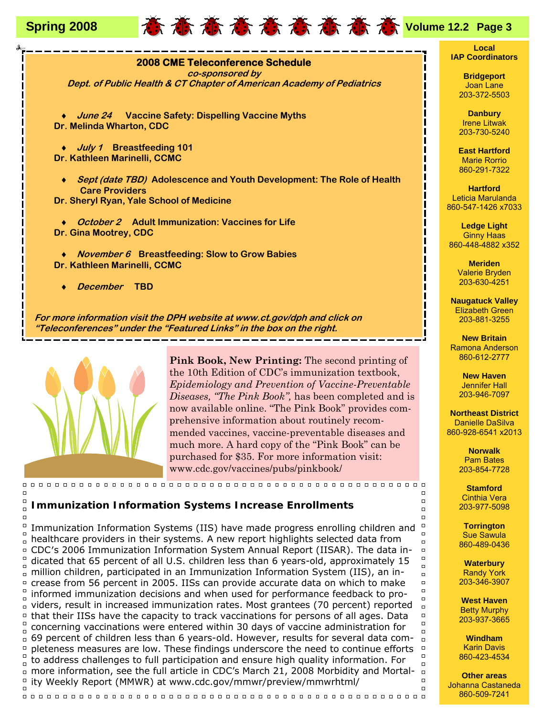





 $\Box$ 

 $\Box$ 

the 10th Edition of CDC's immunization textbook, *Epidemiology and Prevention of Vaccine-Preventable Diseases, "The Pink Book",* has been completed and is now available online. "The Pink Book" provides comprehensive information about routinely recommended vaccines, vaccine-preventable diseases and much more. A hard copy of the "Pink Book" can be purchased for \$35. For more information visit: www.cdc.gov/vaccines/pubs/pinkbook/

### $\Box$ **Immunization Information Systems Increase Enrollments**

 $\Box$ Immunization Information Systems (IIS) have made progress enrolling children and  $\Box$  $\frac{1}{n}$  healthcare providers in their systems. A new report highlights selected data from □ CDC's 2006 Immunization Information System Annual Report (IISAR). The data in- $\Box$ dicated that 65 percent of all U.S. children less than 6 years-old, approximately 15  $\frac{1}{n}$  million children, participated in an Immunization Information System (IIS), an increase from 56 percent in 2005. IISs can provide accurate data on which to make  $\Box$ informed immunization decisions and when used for performance feedback to pro- $\Box$ viders, result in increased immunization rates. Most grantees (70 percent) reported that their IISs have the capacity to track vaccinations for persons of all ages. Data concerning vaccinations were entered within 30 days of vaccine administration for  $\Box$ 69 percent of children less than 6 years-old. However, results for several data completeness measures are low. These findings underscore the need to continue efforts  $\Box$  $\frac{1}{n}$  to address challenges to full participation and ensure high quality information. For more information, see the full article in CDC's March 21, 2008 Morbidity and Mortality Weekly Report (MMWR) at www.cdc.gov/mmwr/preview/mmwrhtml/  $\Box$ 

### **Local IAP Coordinators**

**Bridgeport** Joan Lane 203-372-5503

**Danbury**  Irene Litwak 203-730-5240

**East Hartford**  Marie Rorrio 860-291-7322

**Hartford**  Leticia Marulanda 860-547-1426 x7033

**Ledge Light**  Ginny Haas 860-448-4882 x352

> **Meriden**  Valerie Bryden 203-630-4251

**Naugatuck Valley**  Elizabeth Green 203-881-3255

**New Britain**  Ramona Anderson 860-612-2777

> **New Haven**  Jennifer Hall 203-946-7097

**Northeast District**  Danielle DaSilva 860-928-6541 x2013

> **Norwalk**  Pam Bates 203-854-7728

**Stamford**  Cinthia Vera 203-977-5098

 $\Box$ 

 $\Box$ 

 $\Box$ 

 $\Box$  $\Box$ 

 $\Box$  $\Box$  $\Box$  $\Box$  $\Box$ 

 $\Box$  $\Box$  $\Box$  $\Box$  $\Box$ 

 $\Box$ 

 $\Box$  $\Box$ 

**Torrington**  Sue Sawula 860-489-0436

**Waterbury**  Randy York 203-346-3907

**West Haven**  Betty Murphy 203-937-3665

**Windham**  Karin Davis 860-423-4534

**Other areas**  Johanna Castaneda 860-509-7241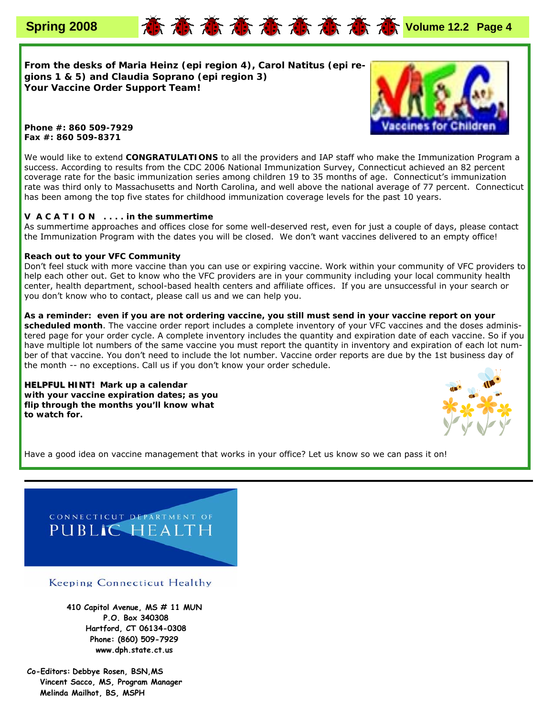

**From the desks of Maria Heinz (epi region 4), Carol Natitus (epi regions 1 & 5) and Claudia Soprano (epi region 3) Your Vaccine Order Support Team!**



**Phone #: 860 509-7929 Fax #: 860 509-8371** 

We would like to extend **CONGRATULATIONS** to all the providers and IAP staff who make the Immunization Program a success. According to results from the CDC 2006 National Immunization Survey, Connecticut achieved an 82 percent coverage rate for the basic immunization series among children 19 to 35 months of age. Connecticut's immunization rate was third only to Massachusetts and North Carolina, and well above the national average of 77 percent. Connecticut has been among the top five states for childhood immunization coverage levels for the past 10 years.

### **V** *A C* **A** *T* **I O** *N* **. . . . in the summertime**

As summertime approaches and offices close for some well-deserved rest, even for just a couple of days, please contact the Immunization Program with the dates you will be closed. We don't want vaccines delivered to an empty office!

### **Reach out to your VFC Community**

Don't feel stuck with more vaccine than you can use or expiring vaccine. Work within your community of VFC providers to help each other out. Get to know who the VFC providers are in your community including your local community health center, health department, school-based health centers and affiliate offices. If you are unsuccessful in your search or you don't know who to contact, please call us and we can help you.

**As a reminder: even if you are not ordering vaccine, you still must send in your vaccine report on your scheduled month**. The vaccine order report includes a complete inventory of your VFC vaccines and the doses administered page for your order cycle. A complete inventory includes the quantity and expiration date of each vaccine. So if you have multiple lot numbers of the same vaccine you must report the quantity in inventory and expiration of each lot number of that vaccine. You don't need to include the lot number. Vaccine order reports are due by the 1st business day of the month -- no exceptions. Call us if you don't know your order schedule.

**HELPFUL HINT!** Mark up a calendar *with your vaccine expiration dates; as you flip through the months you'll know what to watch for.* 



Have a good idea on vaccine management that works in your office? Let us know so we can pass it on!



Keeping Connecticut Healthy

**410 Capitol Avenue, MS # 11 MUN P.O. Box 340308 Hartford, CT 06134-0308 Phone: (860) 509-7929 www.dph.state.ct.us** 

**Co-Editors: Debbye Rosen, BSN,MS Vincent Sacco, MS, Program Manager Melinda Mailhot, BS, MSPH**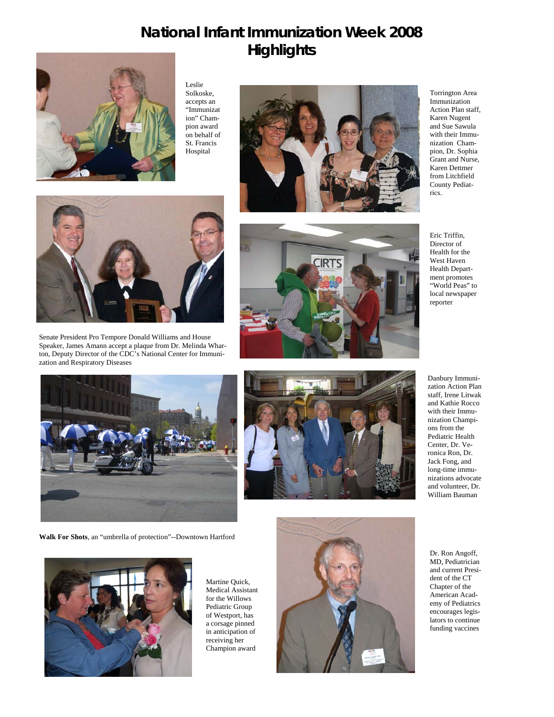# **National Infant Immunization Week 2008 Highlights**



Leslie Solkoske, accepts an "Immunizat ion" Champion award on behalf of St. Francis Hospital





Torrington Area Immunization Action Plan staff, Karen Nugent and Sue Sawula with their Immunization Champion, Dr. Sophia Grant and Nurse, Karen Dettmer from Litchfield County Pediatrics.

Eric Triffin, Director of Health for the West Haven Health Department promotes "World Peas" to local newspaper reporter

Danbury Immunization Action Plan staff, Irene Litwak and Kathie Rocco with their Immunization Champions from the Pediatric Health Center, Dr. Veronica Ron, Dr. Jack Fong, and long-time immunizations advocate and volunteer, Dr. William Bauman

Dr. Ron Angoff, MD, Pediatrician and current President of the CT Chapter of the American Academy of Pediatrics encourages legislators to continue funding vaccines



Senate President Pro Tempore Donald Williams and House Speaker, James Amann accept a plaque from Dr. Melinda Wharton, Deputy Director of the CDC's National Center for Immunization and Respiratory Diseases



**Walk For Shots**, an "umbrella of protection"--Downtown Hartford



Martine Quick, Medical Assistant for the Willows Pediatric Group of Westport, has a corsage pinned in anticipation of receiving her Champion award